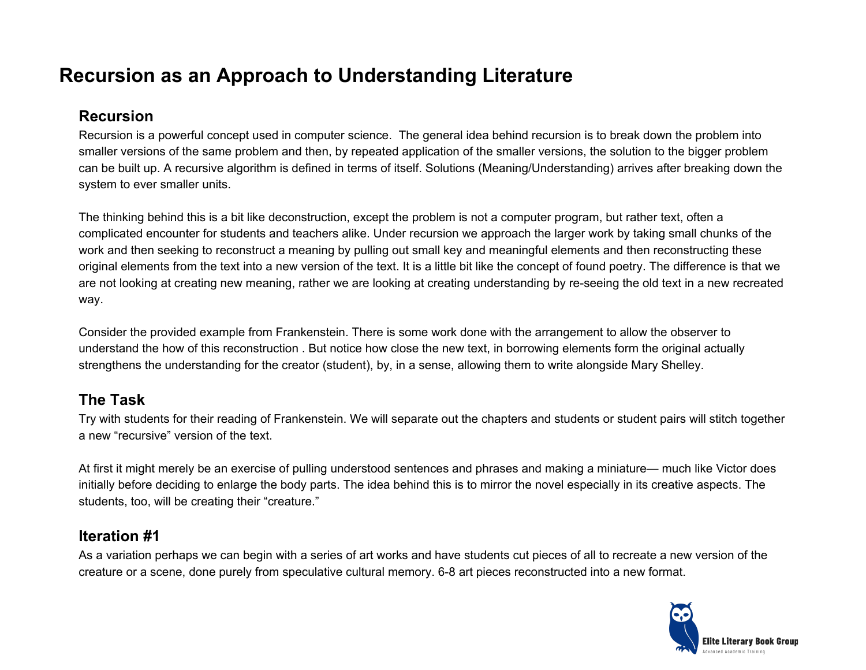## **Recursion as an Approach to Understanding Literature**

### **Recursion**

Recursion is a powerful concept used in computer science. The general idea behind recursion is to break down the problem into smaller versions of the same problem and then, by repeated application of the smaller versions, the solution to the bigger problem can be built up. A recursive algorithm is defined in terms of itself. Solutions (Meaning/Understanding) arrives after breaking down the system to ever smaller units.

The thinking behind this is a bit like deconstruction, except the problem is not a computer program, but rather text, often a complicated encounter for students and teachers alike. Under recursion we approach the larger work by taking small chunks of the work and then seeking to reconstruct a meaning by pulling out small key and meaningful elements and then reconstructing these original elements from the text into a new version of the text. It is a little bit like the concept of found poetry. The difference is that we are not looking at creating new meaning, rather we are looking at creating understanding by re-seeing the old text in a new recreated way.

Consider the provided example from Frankenstein. There is some work done with the arrangement to allow the observer to understand the how of this reconstruction . But notice how close the new text, in borrowing elements form the original actually strengthens the understanding for the creator (student), by, in a sense, allowing them to write alongside Mary Shelley.

## **The Task**

Try with students for their reading of Frankenstein. We will separate out the chapters and students or student pairs will stitch together a new "recursive" version of the text.

At first it might merely be an exercise of pulling understood sentences and phrases and making a miniature— much like Victor does initially before deciding to enlarge the body parts. The idea behind this is to mirror the novel especially in its creative aspects. The students, too, will be creating their "creature."

## **Iteration #1**

As a variation perhaps we can begin with a series of art works and have students cut pieces of all to recreate a new version of the creature or a scene, done purely from speculative cultural memory. 6-8 art pieces reconstructed into a new format.

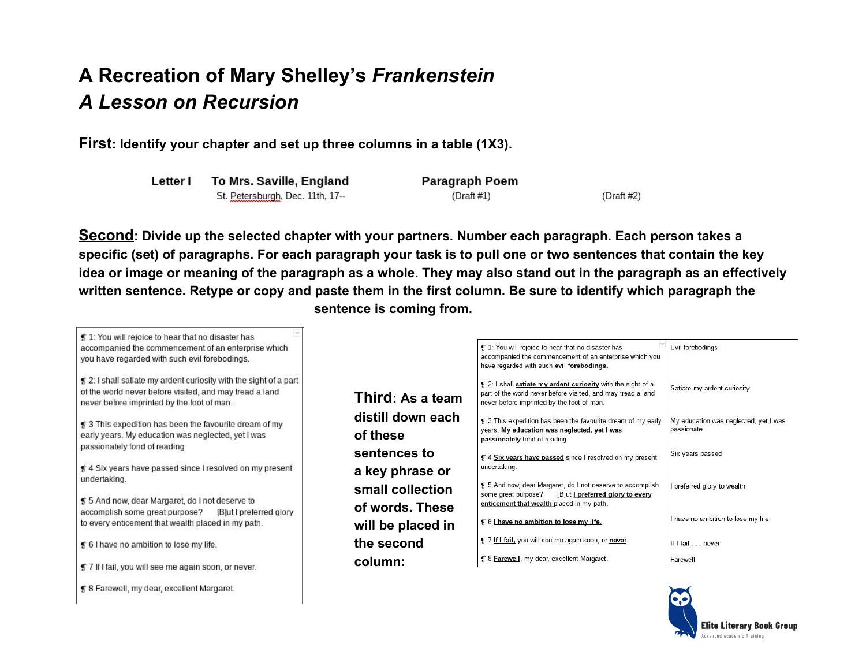# **A Recreation of Mary Shelley's** *Frankenstein A Lesson on Recursion*

**First: Identify your chapter and set up three columns in a table (1X3).**

| Letter | To Mrs. Saville, England         |
|--------|----------------------------------|
|        | St. Petersburgh, Dec. 11th, 17-- |

# 8 Farewell, my dear, excellent Margaret.

**Paragraph Poem**  $(Draft #1)$ 

 $(Draft #2)$ 

**Second: Divide up the selected chapter with your partners. Number each paragraph. Each person takes a specific (set) of paragraphs. For each paragraph your task is to pull one or two sentences that contain the key idea or image or meaning of the paragraph as a whole. They may also stand out in the paragraph as an effectively written sentence. Retype or copy and paste them in the first column. Be sure to identify which paragraph the sentence is coming from.**

| $\P$ 1: You will rejoice to hear that no disaster has<br>accompanied the commencement of an enterprise which<br>you have regarded with such evil forebodings.                     |                                     | 1: You will rejoice to hear that no disaster has<br>accompanied the commencement of an enterprise which you<br>have regarded with such evil forebodings.                     | Evil forebodings                                    |
|-----------------------------------------------------------------------------------------------------------------------------------------------------------------------------------|-------------------------------------|------------------------------------------------------------------------------------------------------------------------------------------------------------------------------|-----------------------------------------------------|
| $\sharp$ 2: I shall satiate my ardent curiosity with the sight of a part<br>of the world never before visited, and may tread a land<br>never before imprinted by the foot of man. | Third: As a team                    | \$1.2: I shall satiate my ardent curiosity with the sight of a<br>part of the world never before visited, and may tread a land<br>never before imprinted by the foot of man. | Satiate my ardent curiosity                         |
| ≸ 3 This expedition has been the favourite dream of my<br>early years. My education was neglected, yet I was                                                                      | distill down each<br>of these       | \$15 3 This expedition has been the favourite dream of my early<br>years. My education was neglected, yet I was<br>passionately fond of reading                              | My education was neglected, yet I was<br>passionate |
| passionately fond of reading<br>⊈ 4 Six years have passed since I resolved on my present                                                                                          | sentences to<br>a key phrase or     | \$ 4 Six years have passed since I resolved on my present<br>undertaking.                                                                                                    | Six years passed                                    |
| undertaking.<br>¶ 5 And now, dear Margaret, do I not deserve to                                                                                                                   | small collection<br>of words. These | \$ 5 And now, dear Margaret, do I not deserve to accomplish<br>[B]ut I preferred glory to every<br>some great purpose?<br>enticement that wealth placed in my path.          | preferred glory to wealth                           |
| accomplish some great purpose?<br>[B]ut I preferred glory<br>to every enticement that wealth placed in my path.                                                                   | will be placed in                   | \$ 6   have no ambition to lose my life.                                                                                                                                     | I have no ambition to lose my life                  |
| ⊈ 6 I have no ambition to lose my life.                                                                                                                                           | the second                          | <b>1</b> 7 If I fail, you will see me again soon, or never.                                                                                                                  | If I fail never                                     |
| <b>f</b> 7 If I fail, you will see me again soon, or never.                                                                                                                       | column:                             | § 8 Farewell, my dear, excellent Margaret.                                                                                                                                   | Farewell                                            |

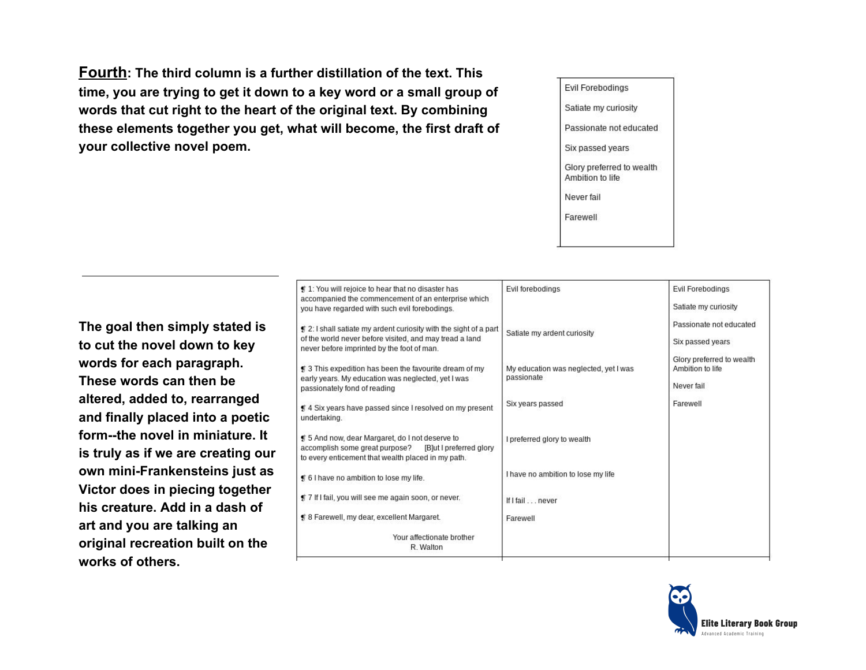**Fourth: The third column is a further distillation of the text. This time, you are trying to get it down to a key word or a small group of words that cut right to the heart of the original text. By combining these elements together you get, what will become, the first draft of your collective novel poem.**

Evil Forebodings Satiate my curiosity Passionate not educated Six passed years Glory preferred to wealth Ambition to life Never fail Farewell

**The goal then simply stated is to cut the novel down to key words for each paragraph. These words can then be altered, added to, rearranged and finally placed into a poetic form--the novel in miniature. It is truly as if we are creating our own mini-Frankensteins just as Victor does in piecing together his creature. Add in a dash of art and you are talking an original recreation built on the works of others.**

| ¶ 1: You will rejoice to hear that no disaster has<br>accompanied the commencement of an enterprise which                                                          | Evil forebodinas                                    | Evil Forebodinas                              |
|--------------------------------------------------------------------------------------------------------------------------------------------------------------------|-----------------------------------------------------|-----------------------------------------------|
| you have regarded with such evil forebodings.                                                                                                                      |                                                     | Satiate my curiosity                          |
| $\sharp$ 2: I shall satiate my ardent curiosity with the sight of a part<br>of the world never before visited, and may tread a land                                | Satiate my ardent curiosity                         | Passionate not educated                       |
| never before imprinted by the foot of man.                                                                                                                         |                                                     | Six passed years                              |
| ∯ 3 This expedition has been the favourite dream of my                                                                                                             | My education was neglected, yet I was<br>passionate | Glory preferred to wealth<br>Ambition to life |
| early years. My education was neglected, yet I was<br>passionately fond of reading                                                                                 |                                                     | Never fail                                    |
| ⊈ 4 Six years have passed since I resolved on my present<br>undertaking.                                                                                           | Six years passed                                    | Farewell                                      |
| ∯ 5 And now, dear Margaret, do I not deserve to<br>accomplish some great purpose?<br>[B]ut I preferred glory<br>to every enticement that wealth placed in my path. | I preferred glory to wealth                         |                                               |
| of 6 I have no ambition to lose my life.                                                                                                                           | I have no ambition to lose my life                  |                                               |
| <b>f</b> 7 If I fail, you will see me again soon, or never.                                                                                                        | If I fail never                                     |                                               |
| # 8 Farewell, my dear, excellent Margaret.                                                                                                                         | Farewell                                            |                                               |
| Your affectionate brother                                                                                                                                          |                                                     |                                               |
| R. Walton                                                                                                                                                          |                                                     |                                               |